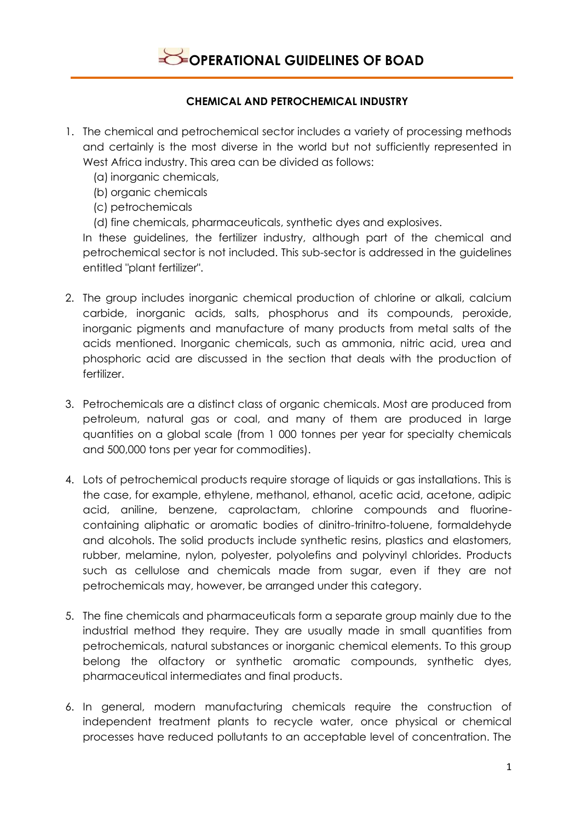

### **CHEMICAL AND PETROCHEMICAL INDUSTRY**

- 1. The chemical and petrochemical sector includes a variety of processing methods and certainly is the most diverse in the world but not sufficiently represented in West Africa industry. This area can be divided as follows:
	- (a) inorganic chemicals,
	- (b) organic chemicals
	- (c) petrochemicals
	- (d) fine chemicals, pharmaceuticals, synthetic dyes and explosives.

In these guidelines, the fertilizer industry, although part of the chemical and petrochemical sector is not included. This sub-sector is addressed in the guidelines entitled "plant fertilizer".

- 2. The group includes inorganic chemical production of chlorine or alkali, calcium carbide, inorganic acids, salts, phosphorus and its compounds, peroxide, inorganic pigments and manufacture of many products from metal salts of the acids mentioned. Inorganic chemicals, such as ammonia, nitric acid, urea and phosphoric acid are discussed in the section that deals with the production of fertilizer.
- 3. Petrochemicals are a distinct class of organic chemicals. Most are produced from petroleum, natural gas or coal, and many of them are produced in large quantities on a global scale (from 1 000 tonnes per year for specialty chemicals and 500,000 tons per year for commodities).
- 4. Lots of petrochemical products require storage of liquids or gas installations. This is the case, for example, ethylene, methanol, ethanol, acetic acid, acetone, adipic acid, aniline, benzene, caprolactam, chlorine compounds and fluorinecontaining aliphatic or aromatic bodies of dinitro-trinitro-toluene, formaldehyde and alcohols. The solid products include synthetic resins, plastics and elastomers, rubber, melamine, nylon, polyester, polyolefins and polyvinyl chlorides. Products such as cellulose and chemicals made from sugar, even if they are not petrochemicals may, however, be arranged under this category.
- 5. The fine chemicals and pharmaceuticals form a separate group mainly due to the industrial method they require. They are usually made in small quantities from petrochemicals, natural substances or inorganic chemical elements. To this group belong the olfactory or synthetic aromatic compounds, synthetic dyes, pharmaceutical intermediates and final products.
- 6. In general, modern manufacturing chemicals require the construction of independent treatment plants to recycle water, once physical or chemical processes have reduced pollutants to an acceptable level of concentration. The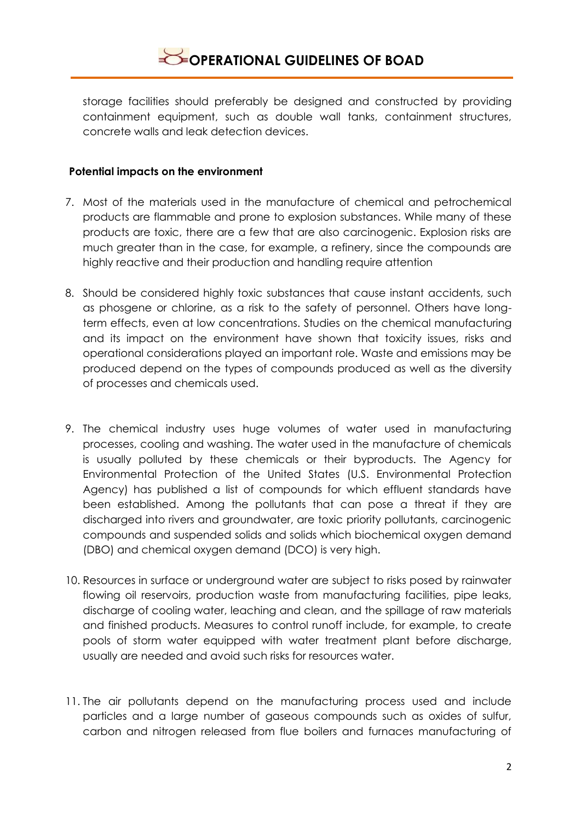storage facilities should preferably be designed and constructed by providing containment equipment, such as double wall tanks, containment structures, concrete walls and leak detection devices.

### **Potential impacts on the environment**

- 7. Most of the materials used in the manufacture of chemical and petrochemical products are flammable and prone to explosion substances. While many of these products are toxic, there are a few that are also carcinogenic. Explosion risks are much greater than in the case, for example, a refinery, since the compounds are highly reactive and their production and handling require attention
- 8. Should be considered highly toxic substances that cause instant accidents, such as phosgene or chlorine, as a risk to the safety of personnel. Others have longterm effects, even at low concentrations. Studies on the chemical manufacturing and its impact on the environment have shown that toxicity issues, risks and operational considerations played an important role. Waste and emissions may be produced depend on the types of compounds produced as well as the diversity of processes and chemicals used.
- 9. The chemical industry uses huge volumes of water used in manufacturing processes, cooling and washing. The water used in the manufacture of chemicals is usually polluted by these chemicals or their byproducts. The Agency for Environmental Protection of the United States (U.S. Environmental Protection Agency) has published a list of compounds for which effluent standards have been established. Among the pollutants that can pose a threat if they are discharged into rivers and groundwater, are toxic priority pollutants, carcinogenic compounds and suspended solids and solids which biochemical oxygen demand (DBO) and chemical oxygen demand (DCO) is very high.
- 10. Resources in surface or underground water are subject to risks posed by rainwater flowing oil reservoirs, production waste from manufacturing facilities, pipe leaks, discharge of cooling water, leaching and clean, and the spillage of raw materials and finished products. Measures to control runoff include, for example, to create pools of storm water equipped with water treatment plant before discharge, usually are needed and avoid such risks for resources water.
- 11. The air pollutants depend on the manufacturing process used and include particles and a large number of gaseous compounds such as oxides of sulfur, carbon and nitrogen released from flue boilers and furnaces manufacturing of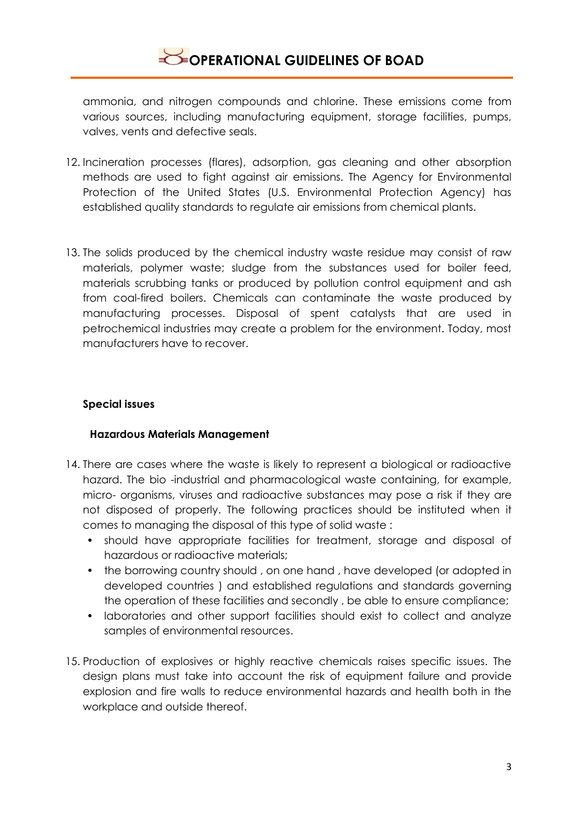ammonia, and nitrogen compounds and chlorine. These emissions come from various sources, including manufacturing equipment, storage facilities, pumps, valves, vents and defective seals.

- 12. Incineration processes (flares), adsorption, gas cleaning and other absorption methods are used to fight against air emissions. The Agency for Environmental Protection of the United States (U.S. Environmental Protection Agency) has established quality standards to regulate air emissions from chemical plants.
- 13. The solids produced by the chemical industry waste residue may consist of raw materials, polymer waste; sludge from the substances used for boiler feed, materials scrubbing tanks or produced by pollution control equipment and ash from coal-fired boilers. Chemicals can contaminate the waste produced by manufacturing processes. Disposal of spent catalysts that are used in petrochemical industries may create a problem for the environment. Today, most manufacturers have to recover.

### **Special issues**

### **Hazardous Materials Management**

- 14. There are cases where the waste is likely to represent a biological or radioactive hazard. The bio -industrial and pharmacological waste containing, for example, micro- organisms, viruses and radioactive substances may pose a risk if they are not disposed of properly. The following practices should be instituted when it comes to managing the disposal of this type of solid waste :
	- should have appropriate facilities for treatment, storage and disposal of hazardous or radioactive materials;
	- the borrowing country should, on one hand, have developed (or adopted in developed countries ) and established regulations and standards governing the operation of these facilities and secondly , be able to ensure compliance;
	- laboratories and other support facilities should exist to collect and analyze samples of environmental resources.
- 15. Production of explosives or highly reactive chemicals raises specific issues. The design plans must take into account the risk of equipment failure and provide explosion and fire walls to reduce environmental hazards and health both in the workplace and outside thereof.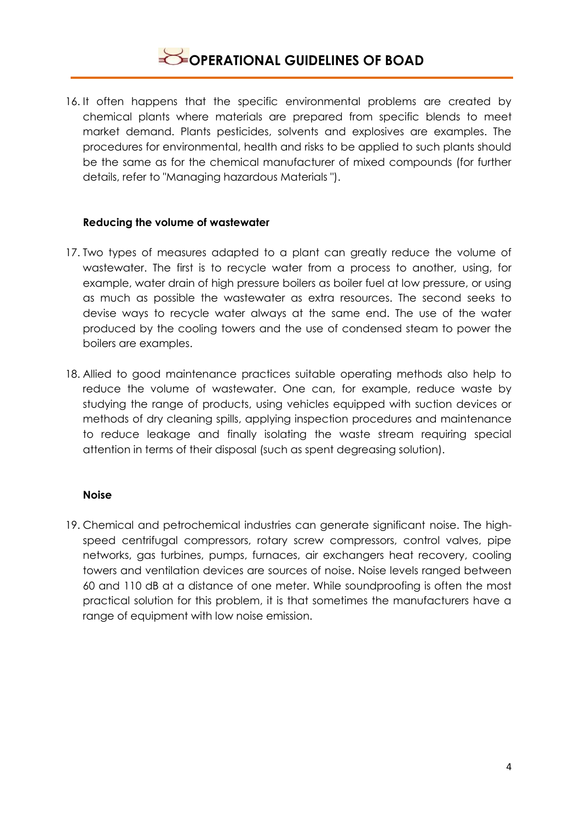## **OPERATIONAL GUIDELINES OF BOAD**

16. It often happens that the specific environmental problems are created by chemical plants where materials are prepared from specific blends to meet market demand. Plants pesticides, solvents and explosives are examples. The procedures for environmental, health and risks to be applied to such plants should be the same as for the chemical manufacturer of mixed compounds (for further details, refer to "Managing hazardous Materials ").

### **Reducing the volume of wastewater**

- 17. Two types of measures adapted to a plant can greatly reduce the volume of wastewater. The first is to recycle water from a process to another, using, for example, water drain of high pressure boilers as boiler fuel at low pressure, or using as much as possible the wastewater as extra resources. The second seeks to devise ways to recycle water always at the same end. The use of the water produced by the cooling towers and the use of condensed steam to power the boilers are examples.
- 18. Allied to good maintenance practices suitable operating methods also help to reduce the volume of wastewater. One can, for example, reduce waste by studying the range of products, using vehicles equipped with suction devices or methods of dry cleaning spills, applying inspection procedures and maintenance to reduce leakage and finally isolating the waste stream requiring special attention in terms of their disposal (such as spent degreasing solution).

#### **Noise**

19. Chemical and petrochemical industries can generate significant noise. The highspeed centrifugal compressors, rotary screw compressors, control valves, pipe networks, gas turbines, pumps, furnaces, air exchangers heat recovery, cooling towers and ventilation devices are sources of noise. Noise levels ranged between 60 and 110 dB at a distance of one meter. While soundproofing is often the most practical solution for this problem, it is that sometimes the manufacturers have a range of equipment with low noise emission.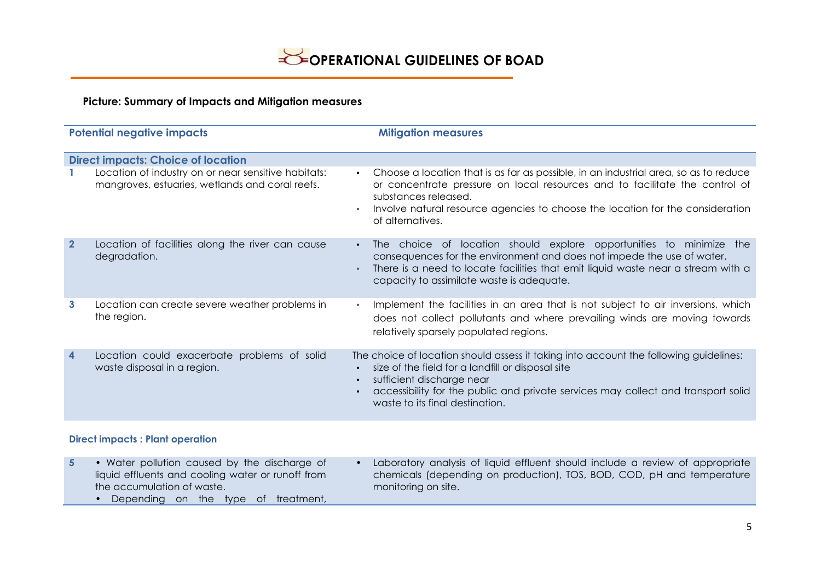

## **Picture: Summary of Impacts and Mitigation measures**

| <b>Potential negative impacts</b>         |                                                                                                        |                        | <b>Mitigation measures</b>                                                                                                                                                                                                                                                                        |  |  |
|-------------------------------------------|--------------------------------------------------------------------------------------------------------|------------------------|---------------------------------------------------------------------------------------------------------------------------------------------------------------------------------------------------------------------------------------------------------------------------------------------------|--|--|
| <b>Direct impacts: Choice of location</b> |                                                                                                        |                        |                                                                                                                                                                                                                                                                                                   |  |  |
|                                           | Location of industry on or near sensitive habitats:<br>mangroves, estuaries, wetlands and coral reefs. | $\bullet$<br>$\bullet$ | Choose a location that is as far as possible, in an industrial area, so as to reduce<br>or concentrate pressure on local resources and to facilitate the control of<br>substances released.<br>Involve natural resource agencies to choose the location for the consideration<br>of alternatives. |  |  |
| $\overline{2}$                            | Location of facilities along the river can cause<br>degradation.                                       | $\bullet$              | choice of location should explore opportunities to minimize the<br>The<br>consequences for the environment and does not impede the use of water.<br>There is a need to locate facilities that emit liquid waste near a stream with a<br>capacity to assimilate waste is adequate.                 |  |  |
| $\mathbf{3}$                              | Location can create severe weather problems in<br>the region.                                          | $\bullet$              | Implement the facilities in an area that is not subject to air inversions, which<br>does not collect pollutants and where prevailing winds are moving towards<br>relatively sparsely populated regions.                                                                                           |  |  |
| $\overline{\mathbf{4}}$                   | Location could exacerbate problems of solid<br>waste disposal in a region.                             | $\bullet$              | The choice of location should assess it taking into account the following guidelines:<br>size of the field for a landfill or disposal site<br>sufficient discharge near<br>accessibility for the public and private services may collect and transport solid<br>waste to its final destination.   |  |  |
| Direct impacts: Plant operation           |                                                                                                        |                        |                                                                                                                                                                                                                                                                                                   |  |  |

#### **Direct impacts : Plant operation**

| • Water pollution caused by the discharge of      | Laboratory analysis of liquid effluent should include a review of appropriate |
|---------------------------------------------------|-------------------------------------------------------------------------------|
| liquid effluents and cooling water or runoff from | chemicals (depending on production), TOS, BOD, COD, pH and temperature        |
| the accumulation of waste.                        | monitoring on site.                                                           |
| Depending on the type of treatment,               |                                                                               |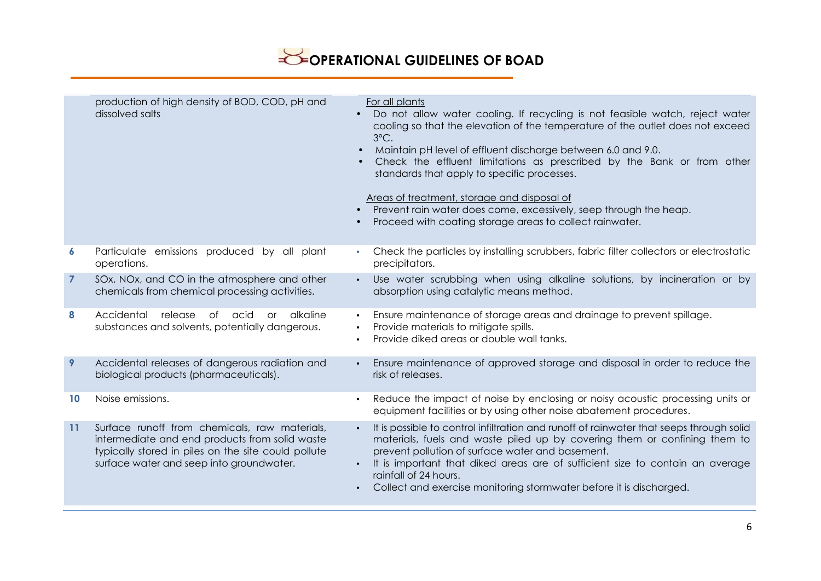

|                  | production of high density of BOD, COD, pH and<br>dissolved salts                                                                                                                                  | For all plants<br>Do not allow water cooling. If recycling is not feasible watch, reject water<br>cooling so that the elevation of the temperature of the outlet does not exceed<br>$3^{\circ}$ C.<br>Maintain pH level of effluent discharge between 6.0 and 9.0.<br>Check the effluent limitations as prescribed by the Bank or from other<br>standards that apply to specific processes.<br>Areas of treatment, storage and disposal of<br>Prevent rain water does come, excessively, seep through the heap.<br>Proceed with coating storage areas to collect rainwater. |
|------------------|----------------------------------------------------------------------------------------------------------------------------------------------------------------------------------------------------|-----------------------------------------------------------------------------------------------------------------------------------------------------------------------------------------------------------------------------------------------------------------------------------------------------------------------------------------------------------------------------------------------------------------------------------------------------------------------------------------------------------------------------------------------------------------------------|
| $\boldsymbol{6}$ | Particulate emissions produced by all plant<br>operations.                                                                                                                                         | Check the particles by installing scrubbers, fabric filter collectors or electrostatic<br>precipitators.                                                                                                                                                                                                                                                                                                                                                                                                                                                                    |
| $\overline{7}$   | SOx, NOx, and CO in the atmosphere and other<br>chemicals from chemical processing activities.                                                                                                     | Use water scrubbing when using alkaline solutions, by incineration or by<br>absorption using catalytic means method.                                                                                                                                                                                                                                                                                                                                                                                                                                                        |
| 8                | Accidental<br>release<br>of<br>acid<br>alkaline<br>$\circ$ r<br>substances and solvents, potentially dangerous.                                                                                    | Ensure maintenance of storage areas and drainage to prevent spillage.<br>$\bullet$<br>Provide materials to mitigate spills.<br>Provide diked areas or double wall tanks.                                                                                                                                                                                                                                                                                                                                                                                                    |
| 9                | Accidental releases of dangerous radiation and<br>biological products (pharmaceuticals).                                                                                                           | Ensure maintenance of approved storage and disposal in order to reduce the<br>risk of releases.                                                                                                                                                                                                                                                                                                                                                                                                                                                                             |
| 10               | Noise emissions.                                                                                                                                                                                   | Reduce the impact of noise by enclosing or noisy acoustic processing units or<br>$\bullet$<br>equipment facilities or by using other noise abatement procedures.                                                                                                                                                                                                                                                                                                                                                                                                            |
| 11               | Surface runoff from chemicals, raw materials,<br>intermediate and end products from solid waste<br>typically stored in piles on the site could pollute<br>surface water and seep into groundwater. | It is possible to control infiltration and runoff of rainwater that seeps through solid<br>materials, fuels and waste piled up by covering them or confining them to<br>prevent pollution of surface water and basement.<br>It is important that diked areas are of sufficient size to contain an average<br>rainfall of 24 hours.<br>Collect and exercise monitoring stormwater before it is discharged.                                                                                                                                                                   |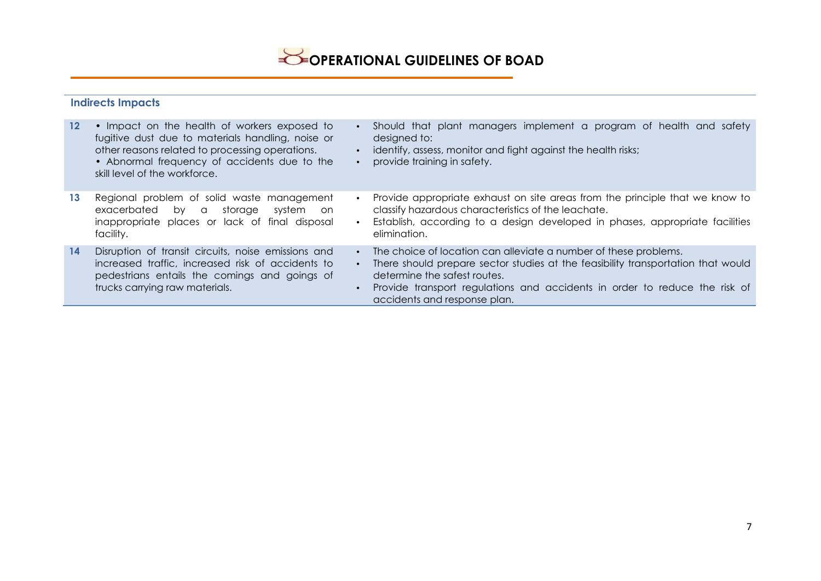

## **Indirects Impacts**

| $12 \overline{ }$ | • Impact on the health of workers exposed to<br>fugitive dust due to materials handling, noise or<br>other reasons related to processing operations.<br>• Abnormal frequency of accidents due to the<br>skill level of the workforce. |                        | Should that plant managers implement a program of health and safety<br>designed to:<br>identify, assess, monitor and fight against the health risks;<br>provide training in safety.                                                                                                                |
|-------------------|---------------------------------------------------------------------------------------------------------------------------------------------------------------------------------------------------------------------------------------|------------------------|----------------------------------------------------------------------------------------------------------------------------------------------------------------------------------------------------------------------------------------------------------------------------------------------------|
| 13                | Regional problem of solid waste management<br>exacerbated<br>by a storage<br>system<br>-on<br>inappropriate places or lack of final disposal<br>facility.                                                                             | $\bullet$<br>$\bullet$ | Provide appropriate exhaust on site areas from the principle that we know to<br>classify hazardous characteristics of the leachate.<br>Establish, according to a design developed in phases, appropriate facilities<br>elimination.                                                                |
| 14                | Disruption of transit circuits, noise emissions and<br>increased traffic, increased risk of accidents to<br>pedestrians entails the comings and goings of<br>trucks carrying raw materials.                                           | $\bullet$<br>$\bullet$ | The choice of location can alleviate a number of these problems.<br>There should prepare sector studies at the feasibility transportation that would<br>determine the safest routes.<br>Provide transport regulations and accidents in order to reduce the risk of<br>accidents and response plan. |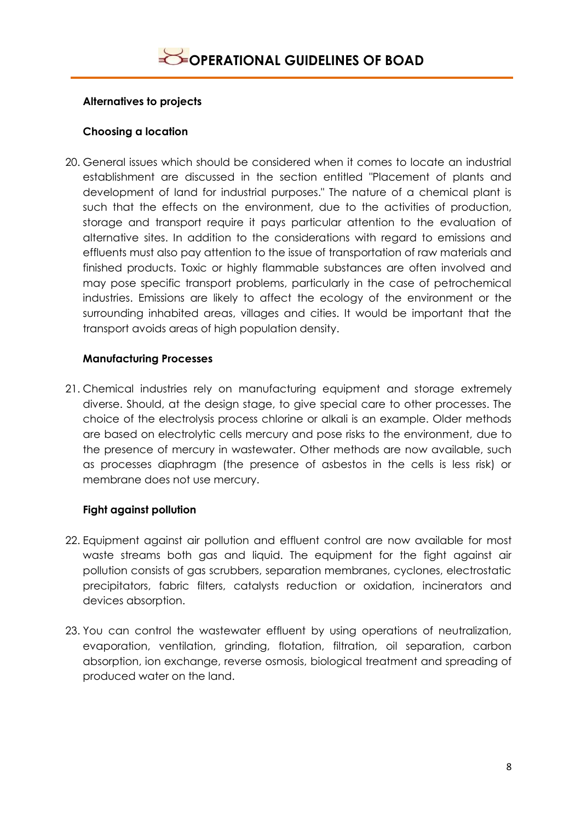### **Alternatives to projects**

### **Choosing a location**

20. General issues which should be considered when it comes to locate an industrial establishment are discussed in the section entitled "Placement of plants and development of land for industrial purposes." The nature of a chemical plant is such that the effects on the environment, due to the activities of production, storage and transport require it pays particular attention to the evaluation of alternative sites. In addition to the considerations with regard to emissions and effluents must also pay attention to the issue of transportation of raw materials and finished products. Toxic or highly flammable substances are often involved and may pose specific transport problems, particularly in the case of petrochemical industries. Emissions are likely to affect the ecology of the environment or the surrounding inhabited areas, villages and cities. It would be important that the transport avoids areas of high population density.

### **Manufacturing Processes**

21. Chemical industries rely on manufacturing equipment and storage extremely diverse. Should, at the design stage, to give special care to other processes. The choice of the electrolysis process chlorine or alkali is an example. Older methods are based on electrolytic cells mercury and pose risks to the environment, due to the presence of mercury in wastewater. Other methods are now available, such as processes diaphragm (the presence of asbestos in the cells is less risk) or membrane does not use mercury.

### **Fight against pollution**

- 22. Equipment against air pollution and effluent control are now available for most waste streams both gas and liquid. The equipment for the fight against air pollution consists of gas scrubbers, separation membranes, cyclones, electrostatic precipitators, fabric filters, catalysts reduction or oxidation, incinerators and devices absorption.
- 23. You can control the wastewater effluent by using operations of neutralization, evaporation, ventilation, grinding, flotation, filtration, oil separation, carbon absorption, ion exchange, reverse osmosis, biological treatment and spreading of produced water on the land.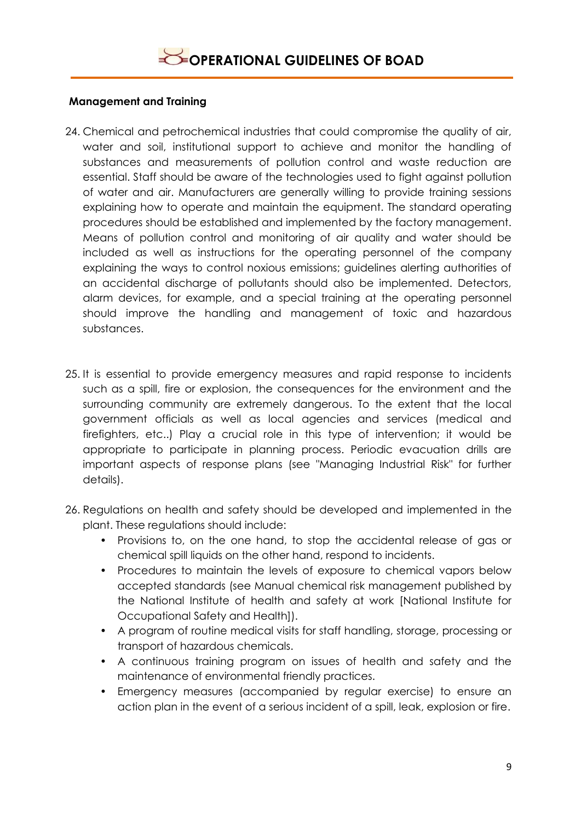### **Management and Training**

- 24. Chemical and petrochemical industries that could compromise the quality of air, water and soil, institutional support to achieve and monitor the handling of substances and measurements of pollution control and waste reduction are essential. Staff should be aware of the technologies used to fight against pollution of water and air. Manufacturers are generally willing to provide training sessions explaining how to operate and maintain the equipment. The standard operating procedures should be established and implemented by the factory management. Means of pollution control and monitoring of air quality and water should be included as well as instructions for the operating personnel of the company explaining the ways to control noxious emissions; guidelines alerting authorities of an accidental discharge of pollutants should also be implemented. Detectors, alarm devices, for example, and a special training at the operating personnel should improve the handling and management of toxic and hazardous substances.
- 25. It is essential to provide emergency measures and rapid response to incidents such as a spill, fire or explosion, the consequences for the environment and the surrounding community are extremely dangerous. To the extent that the local government officials as well as local agencies and services (medical and firefighters, etc..) Play a crucial role in this type of intervention; it would be appropriate to participate in planning process. Periodic evacuation drills are important aspects of response plans (see "Managing Industrial Risk" for further details).
- 26. Regulations on health and safety should be developed and implemented in the plant. These regulations should include:
	- Provisions to, on the one hand, to stop the accidental release of gas or chemical spill liquids on the other hand, respond to incidents.
	- Procedures to maintain the levels of exposure to chemical vapors below accepted standards (see Manual chemical risk management published by the National Institute of health and safety at work [National Institute for Occupational Safety and Health]).
	- A program of routine medical visits for staff handling, storage, processing or transport of hazardous chemicals.
	- A continuous training program on issues of health and safety and the maintenance of environmental friendly practices.
	- Emergency measures (accompanied by regular exercise) to ensure an action plan in the event of a serious incident of a spill, leak, explosion or fire.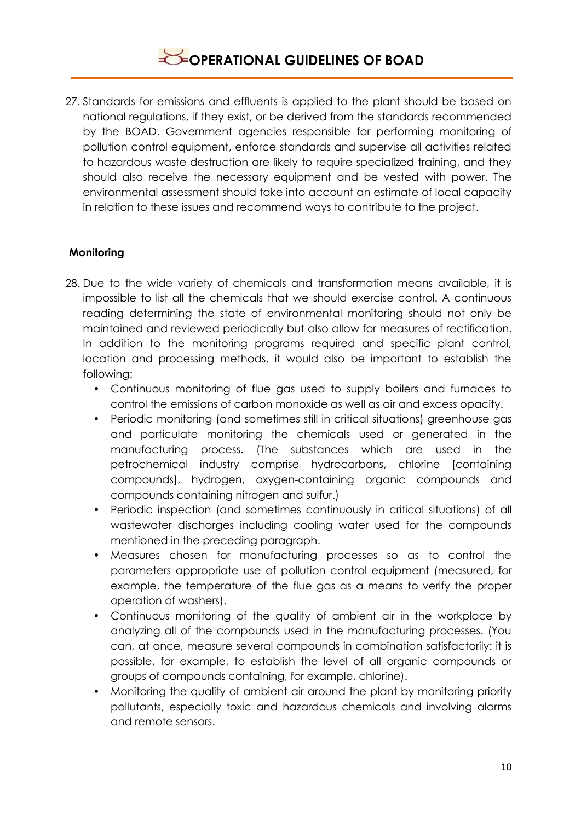27. Standards for emissions and effluents is applied to the plant should be based on national regulations, if they exist, or be derived from the standards recommended by the BOAD. Government agencies responsible for performing monitoring of pollution control equipment, enforce standards and supervise all activities related to hazardous waste destruction are likely to require specialized training, and they should also receive the necessary equipment and be vested with power. The environmental assessment should take into account an estimate of local capacity in relation to these issues and recommend ways to contribute to the project.

### **Monitoring**

- 28. Due to the wide variety of chemicals and transformation means available, it is impossible to list all the chemicals that we should exercise control. A continuous reading determining the state of environmental monitoring should not only be maintained and reviewed periodically but also allow for measures of rectification. In addition to the monitoring programs required and specific plant control, location and processing methods, it would also be important to establish the following:
	- Continuous monitoring of flue gas used to supply boilers and furnaces to control the emissions of carbon monoxide as well as air and excess opacity.
	- Periodic monitoring (and sometimes still in critical situations) greenhouse gas and particulate monitoring the chemicals used or generated in the manufacturing process. (The substances which are used in the petrochemical industry comprise hydrocarbons, chlorine [containing compounds], hydrogen, oxygen-containing organic compounds and compounds containing nitrogen and sulfur.)
	- Periodic inspection (and sometimes continuously in critical situations) of all wastewater discharges including cooling water used for the compounds mentioned in the preceding paragraph.
	- Measures chosen for manufacturing processes so as to control the parameters appropriate use of pollution control equipment (measured, for example, the temperature of the flue gas as a means to verify the proper operation of washers).
	- Continuous monitoring of the quality of ambient air in the workplace by analyzing all of the compounds used in the manufacturing processes. (You can, at once, measure several compounds in combination satisfactorily: it is possible, for example, to establish the level of all organic compounds or groups of compounds containing, for example, chlorine).
	- Monitoring the quality of ambient air around the plant by monitoring priority pollutants, especially toxic and hazardous chemicals and involving alarms and remote sensors.